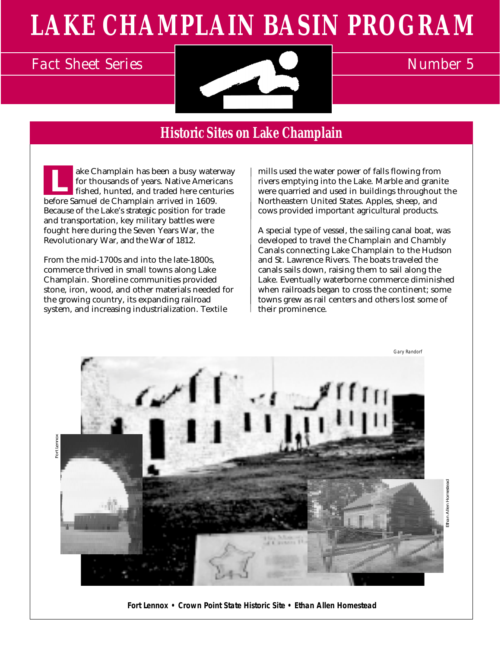# **LAKE CHAMPLAIN BASIN PROGRAM**



# **Historic Sites on Lake Champlain**

 ake Champlain has been a busy waterway for thousands of years. Native Americans fished, hunted, and traded here centuries before Samuel de Champlain arrived in 1609. Because of the Lake's strategic position for trade and transportation, key military battles were fought here during the Seven Years War, the Revolutionary War, and the War of 1812. **L**

From the mid-1700s and into the late-1800s, commerce thrived in small towns along Lake Champlain. Shoreline communities provided stone, iron, wood, and other materials needed for the growing country, its expanding railroad system, and increasing industrialization. Textile

mills used the water power of falls flowing from rivers emptying into the Lake. Marble and granite were quarried and used in buildings throughout the Northeastern United States. Apples, sheep, and cows provided important agricultural products.

A special type of vessel, the sailing canal boat, was developed to travel the Champlain and Chambly Canals connecting Lake Champlain to the Hudson and St. Lawrence Rivers. The boats traveled the canals sails down, raising them to sail along the Lake. Eventually waterborne commerce diminished when railroads began to cross the continent; some towns grew as rail centers and others lost some of their prominence.



**Fort Lennox • Crown Point State Historic Site • Ethan Allen Homestead**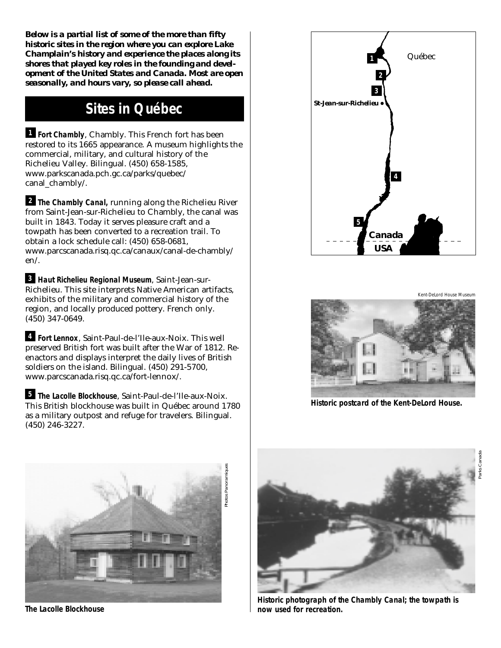*Below is a partial list of some of the more than fifty historic sites in the region where you can explore Lake Champlain's history and experience the places along its shores that played key roles in the founding and development of the United States and Canada. Most are open seasonally, and hours vary, so please call ahead.*

### **Sites in Québec**

**Fort Chambly**, Chambly. This French fort has been **1** restored to its 1665 appearance. A museum highlights the commercial, military, and cultural history of the Richelieu Valley. Bilingual. (450) 658-1585, www.parkscanada.pch.gc.ca/parks/quebec/ canal chambly/.

**The Chambly Canal,** running along the Richelieu River **2** from Saint-Jean-sur-Richelieu to Chambly, the canal was built in 1843. Today it serves pleasure craft and a towpath has been converted to a recreation trail. To obtain a lock schedule call: (450) 658-0681, www.parcscanada.risq.qc.ca/canaux/canal-de-chambly/ en/.

**Haut Richelieu Regional Museum**, Saint-Jean-sur-**3** Richelieu. This site interprets Native American artifacts, exhibits of the military and commercial history of the region, and locally produced pottery. French only. (450) 347-0649.

**Fort Lennox**, Saint-Paul-de-l'Ile-aux-Noix. This well **4** preserved British fort was built after the War of 1812. Reenactors and displays interpret the daily lives of British soldiers on the island. Bilingual. (450) 291-5700, www.parcscanada.risq.qc.ca/fort-lennox/.

**The Lacolle Blockhouse**, Saint-Paul-de-l'Ile-aux-Noix. **5** This British blockhouse was built in Québec around 1780 as a military outpost and refuge for travelers. Bilingual. (450) 246-3227.



Kent-DeLord House Museum

Parks Canada



**Historic postcard of the Kent-DeLord House.**



**The Lacolle Blockhouse**



**Historic photograph of the Chambly Canal; the towpath is now used for recreation.**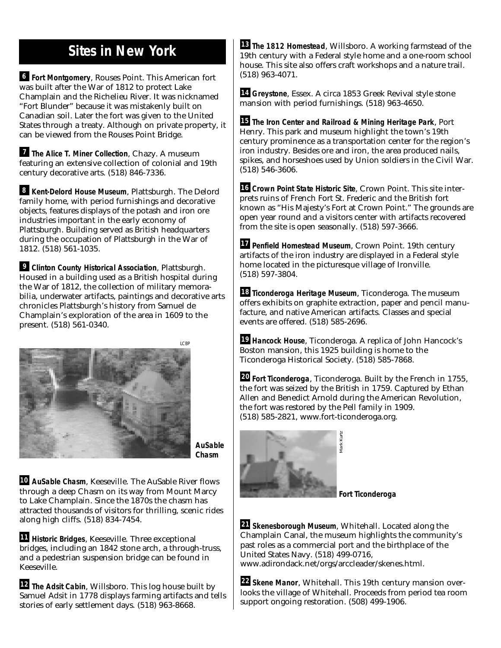# **Sites in New York**

**Fort Montgomery**, Rouses Point. This American fort **6** was built after the War of 1812 to protect Lake Champlain and the Richelieu River. It was nicknamed "Fort Blunder" because it was mistakenly built on Canadian soil. Later the fort was given to the United States through a treaty. Although on private property, it can be viewed from the Rouses Point Bridge.

**The Alice T. Miner Collection, Chazy. A museum** featuring an extensive collection of colonial and 19th century decorative arts. (518) 846-7336.

**Kent-Delord House Museum**, Plattsburgh. The Delord **8** family home, with period furnishings and decorative objects, features displays of the potash and iron ore industries important in the early economy of Plattsburgh. Building served as British headquarters during the occupation of Plattsburgh in the War of 1812. (518) 561-1035.

**Clinton County Historical Association**, Plattsburgh. **9** Housed in a building used as a British hospital during the War of 1812, the collection of military memorabilia, underwater artifacts, paintings and decorative arts chronicles Plattsburgh's history from Samuel de Champlain's exploration of the area in 1609 to the present. (518) 561-0340.



**AuSable Chasm**

**AuSable Chasm**, Keeseville. The AuSable River flows **10** through a deep Chasm on its way from Mount Marcy to Lake Champlain. Since the 1870s the chasm has attracted thousands of visitors for thrilling, scenic rides along high cliffs. (518) 834-7454.

**Historic Bridges**, Keeseville. Three exceptional **11** bridges, including an 1842 stone arch, a through-truss, and a pedestrian suspension bridge can be found in Keeseville.

**The Adsit Cabin**, Willsboro. This log house built by **12** Samuel Adsit in 1778 displays farming artifacts and tells stories of early settlement days. (518) 963-8668.

**The 1812 Homestead**, Willsboro. A working farmstead of the **13** 19th century with a Federal style home and a one-room school house. This site also offers craft workshops and a nature trail. (518) 963-4071.

**Greystone**, Essex. A circa 1853 Greek Revival style stone **14** mansion with period furnishings. (518) 963-4650.

**The Iron Center and Railroad & Mining Heritage Park**, Port **15** Henry. This park and museum highlight the town's 19th century prominence as a transportation center for the region's iron industry. Besides ore and iron, the area produced nails, spikes, and horseshoes used by Union soldiers in the Civil War. (518) 546-3606.

**Crown Point State Historic Site**, Crown Point. This site inter-**16** prets ruins of French Fort St. Frederic and the British fort known as "His Majesty's Fort at Crown Point." The grounds are open year round and a visitors center with artifacts recovered from the site is open seasonally. (518) 597-3666.

**Penfield Homestead Museum**, Crown Point. 19th century **17** artifacts of the iron industry are displayed in a Federal style home located in the picturesque village of Ironville. (518) 597-3804.

**Ticonderoga Heritage Museum**, Ticonderoga. The museum **18** offers exhibits on graphite extraction, paper and pencil manufacture, and native American artifacts. Classes and special events are offered. (518) 585-2696.

**Hancock House**, Ticonderoga. A replica of John Hancock's **19** Boston mansion, this 1925 building is home to the Ticonderoga Historical Society. (518) 585-7868.

**Fort Ticonderoga**, Ticonderoga. Built by the French in 1755, **20** the fort was seized by the British in 1759. Captured by Ethan Allen and Benedict Arnold during the American Revolution, the fort was restored by the Pell family in 1909. (518) 585-2821, www.fort-ticonderoga.org.



**Fort Ticonderoga**

**Skenesborough Museum**, Whitehall. Located along the **21** Champlain Canal, the museum highlights the community's past roles as a commercial port and the birthplace of the United States Navy. (518) 499-0716,

www.adirondack.net/orgs/arccleader/skenes.html.

**Skene Manor**, Whitehall. This 19th century mansion over-**22** looks the village of Whitehall. Proceeds from period tea room support ongoing restoration. (508) 499-1906.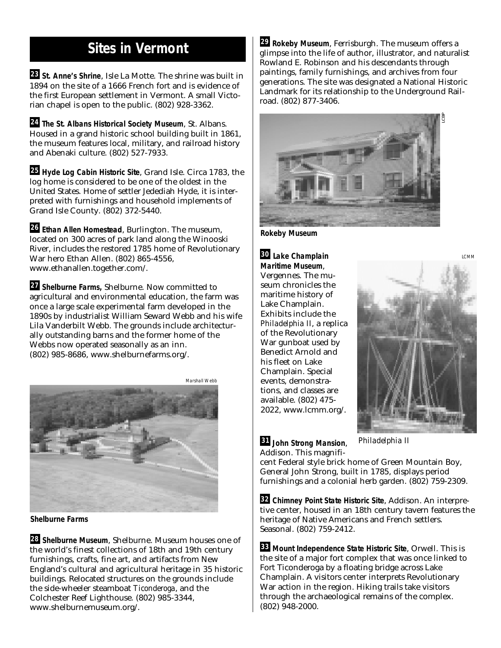# **Sites in Vermont**

**St. Anne's Shrine**, Isle La Motte. The shrine was built in **23** 1894 on the site of a 1666 French fort and is evidence of the first European settlement in Vermont. A small Victorian chapel is open to the public. (802) 928-3362.

**The St. Albans Historical Society Museum**, St. Albans. **24** Housed in a grand historic school building built in 1861, the museum features local, military, and railroad history and Abenaki culture. (802) 527-7933.

**Hyde Log Cabin Historic Site**, Grand Isle. Circa 1783, the **25** log home is considered to be one of the oldest in the United States. Home of settler Jedediah Hyde, it is interpreted with furnishings and household implements of Grand Isle County. (802) 372-5440.

**Ethan Allen Homestead**, Burlington. The museum, **26** located on 300 acres of park land along the Winooski River, includes the restored 1785 home of Revolutionary War hero Ethan Allen. (802) 865-4556, www.ethanallen.together.com/.

**Shelburne Farms,** Shelburne. Now committed to **27** agricultural and environmental education, the farm was once a large scale experimental farm developed in the 1890s by industrialist William Seward Webb and his wife Lila Vanderbilt Webb. The grounds include architecturally outstanding barns and the former home of the Webbs now operated seasonally as an inn. (802) 985-8686, www.shelburnefarms.org/.



**Shelburne Farms**

**Shelburne Museum**, Shelburne. Museum houses one of **28** the world's finest collections of 18th and 19th century furnishings, crafts, fine art, and artifacts from New England's cultural and agricultural heritage in 35 historic buildings. Relocated structures on the grounds include the side-wheeler steamboat *Ticonderoga*, and the Colchester Reef Lighthouse. (802) 985-3344, www.shelburnemuseum.org/.

**Rokeby Museum**, Ferrisburgh. The museum offers a **29** glimpse into the life of author, illustrator, and naturalist Rowland E. Robinson and his descendants through paintings, family furnishings, and archives from four generations. The site was designated a National Historic Landmark for its relationship to the Underground Railroad. (802) 877-3406.



**Rokeby Museum**

**Lake Champlain 30 Maritime Museum**, Vergennes. The museum chronicles the maritime history of Lake Champlain. Exhibits include the *Philadelphia II*, a replica of the Revolutionary War gunboat used by Benedict Arnold and his fleet on Lake Champlain. Special events, demonstrations, and classes are available. (802) 475- 2022, www.lcmm.org/.



LCMM

**John Strong Mansion**, **31** Addison. This magnifi*Philadelphia II*

cent Federal style brick home of Green Mountain Boy, General John Strong, built in 1785, displays period furnishings and a colonial herb garden. (802) 759-2309.

**Chimney Point State Historic Site**, Addison. An interpre-**32** tive center, housed in an 18th century tavern features the heritage of Native Americans and French settlers. Seasonal. (802) 759-2412.

**Mount Independence State Historic Site**, Orwell. This is **33** the site of a major fort complex that was once linked to Fort Ticonderoga by a floating bridge across Lake Champlain. A visitors center interprets Revolutionary War action in the region. Hiking trails take visitors through the archaeological remains of the complex. (802) 948-2000.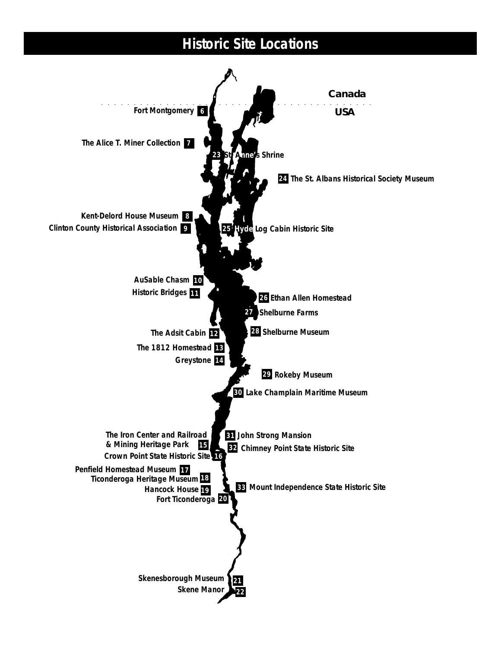#### **Historic Site Locations** a aaaaaaaaaaaaaaaaaaaaaaaaaaaaaaaaaaaaaaaaa *Canada USA* **8 Kent-Delord House Museum 6 Fort Montgomery 7 The Alice T. Miner Collection 11 Historic Bridges 23 26 Ethan Allen Homestead 12 The Adsit Cabin 13 The 1812 Homestead Clinton County Historical Association 9 AuSable Chasm 10 Greystone 14 15 The Iron Center and Railroad & Mining Heritage Park Crown Point State Historic Site 16 Penfield Homestead Museum 17 Fort Ticonderoga 20 Hancock House 19 Ticonderoga Heritage Museum 18 22 21 Skenesborough Museum Skene Manor 24 The St. Albans Historical Society Museum 25 Hyde Log Cabin Historic Site nne's Shrine 28 Shelburne Museum 27 Shelburne Farms 30 Lake Champlain Maritime Museum 29 Rokeby Museum Chimney Point State Historic Site 32 John Strong Mansion 31 Mount Independence State Historic Site 33**